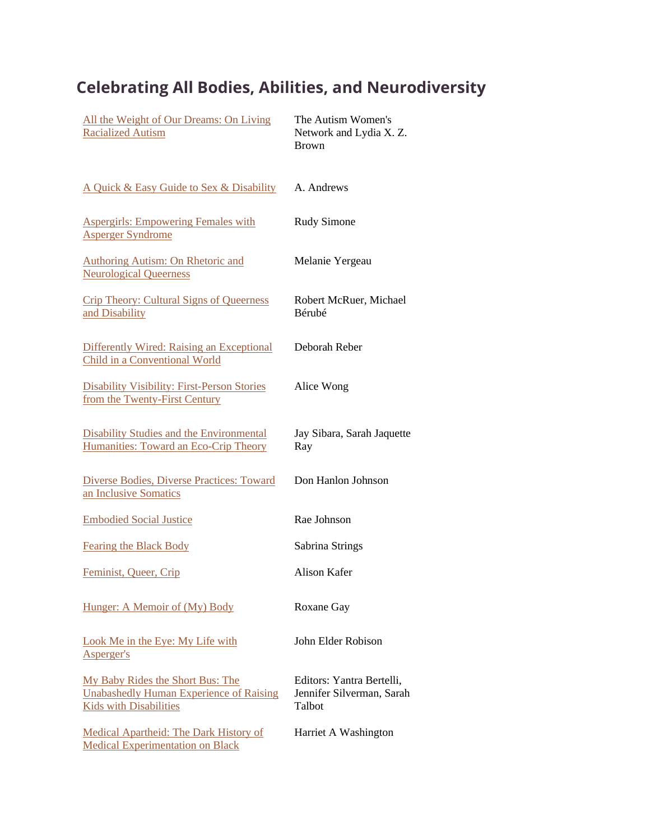## **Celebrating All Bodies, Abilities, and Neurodiversity**

| All the Weight of Our Dreams: On Living<br><b>Racialized Autism</b>                                                 | The Autism Women's<br>Network and Lydia X. Z.<br><b>Brown</b>    |
|---------------------------------------------------------------------------------------------------------------------|------------------------------------------------------------------|
| A Quick & Easy Guide to Sex & Disability                                                                            | A. Andrews                                                       |
| <b>Aspergirls: Empowering Females with</b><br><b>Asperger Syndrome</b>                                              | <b>Rudy Simone</b>                                               |
| <b>Authoring Autism: On Rhetoric and</b><br><b>Neurological Queerness</b>                                           | Melanie Yergeau                                                  |
| <b>Crip Theory: Cultural Signs of Queerness</b><br>and Disability                                                   | Robert McRuer, Michael<br>Bérubé                                 |
| <b>Differently Wired: Raising an Exceptional</b><br>Child in a Conventional World                                   | Deborah Reber                                                    |
| <b>Disability Visibility: First-Person Stories</b><br>from the Twenty-First Century                                 | Alice Wong                                                       |
| <b>Disability Studies and the Environmental</b><br>Humanities: Toward an Eco-Crip Theory                            | Jay Sibara, Sarah Jaquette<br>Ray                                |
| Diverse Bodies, Diverse Practices: Toward<br>an Inclusive Somatics                                                  | Don Hanlon Johnson                                               |
| <b>Embodied Social Justice</b>                                                                                      | Rae Johnson                                                      |
| <b>Fearing the Black Body</b>                                                                                       | Sabrina Strings                                                  |
| Feminist, Queer, Crip                                                                                               | <b>Alison Kafer</b>                                              |
| Hunger: A Memoir of (My) Body                                                                                       | Roxane Gay                                                       |
| Look Me in the Eye: My Life with<br>Asperger's                                                                      | John Elder Robison                                               |
| My Baby Rides the Short Bus: The<br><b>Unabashedly Human Experience of Raising</b><br><b>Kids with Disabilities</b> | Editors: Yantra Bertelli,<br>Jennifer Silverman, Sarah<br>Talbot |
| <b>Medical Apartheid: The Dark History of</b><br><b>Medical Experimentation on Black</b>                            | Harriet A Washington                                             |